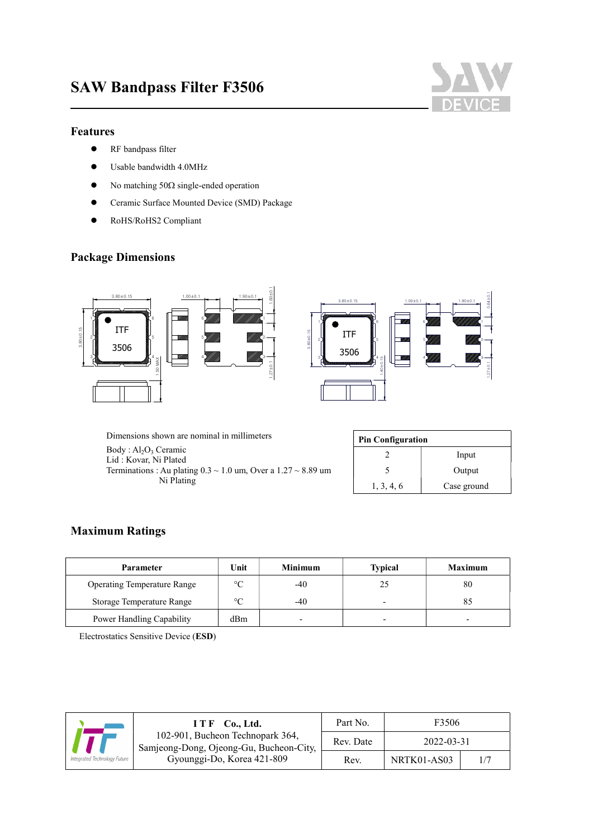

### Features

 $\overline{a}$ 

- **•** RF bandpass filter
- Usable bandwidth 4.0MHz
- $\bullet$  No matching 50 $\Omega$  single-ended operation
- Ceramic Surface Mounted Device (SMD) Package
- RoHS/RoHS2 Compliant

## Package Dimensions



Dimensions shown are nominal in millimeters Body: Al<sub>2</sub>O<sub>3</sub> Ceramic Lid : Kovar, Ni Plated Terminations : Au plating  $0.3 \sim 1.0$  um, Over a  $1.27 \sim 8.89$  um Ni Plating

| <b>Pin Configuration</b> |             |  |  |
|--------------------------|-------------|--|--|
|                          | Input       |  |  |
|                          | Output      |  |  |
| 1, 3, 4, 6               | Case ground |  |  |

## Maximum Ratings

| <b>Parameter</b>                   | Unit            | <b>Minimum</b> | <b>Typical</b>           | <b>Maximum</b> |
|------------------------------------|-----------------|----------------|--------------------------|----------------|
| <b>Operating Temperature Range</b> | $\rm ^{\circ}C$ | $-40$          | 25                       | 80             |
| Storage Temperature Range          | $\circ$         | -40            | $\overline{\phantom{0}}$ |                |
| Power Handling Capability          | dBm             |                |                          |                |

Electrostatics Sensitive Device (ESD)

|                                                                             | $ITF$ Co., Ltd.            | Part No.         | F3506       |     |
|-----------------------------------------------------------------------------|----------------------------|------------------|-------------|-----|
| 102-901, Bucheon Technopark 364,<br>Samjeong-Dong, Ojeong-Gu, Bucheon-City, | Rev. Date                  | $2022 - 03 - 31$ |             |     |
| Integrated Technology Future                                                | Gyounggi-Do, Korea 421-809 | Rev.             | NRTK01-AS03 | 1/7 |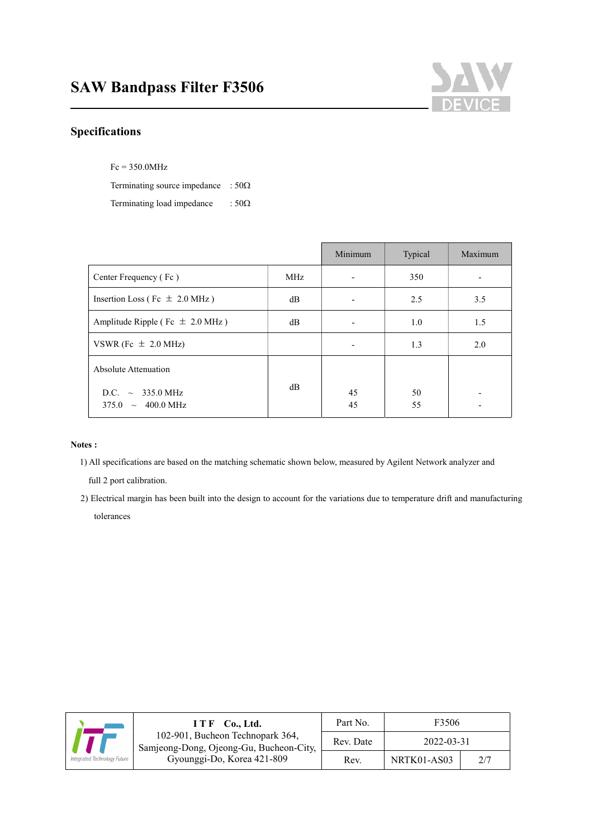

# Specifications

 $\overline{a}$ 

Fc = 350.0MHz

Terminating source impedance :  $50\Omega$ 

Terminating load impedance  $\therefore$  50 $\Omega$ 

|                                                                    |            | Minimum  | Typical  | Maximum |
|--------------------------------------------------------------------|------------|----------|----------|---------|
| Center Frequency (Fc)                                              | <b>MHz</b> |          | 350      |         |
| Insertion Loss (Fc $\pm$ 2.0 MHz)                                  | dB         |          | 2.5      | 3.5     |
| Amplitude Ripple (Fc $\pm$ 2.0 MHz)                                | dB         |          | 1.0      | 1.5     |
| VSWR (Fc $\pm$ 2.0 MHz)                                            |            |          | 1.3      | 2.0     |
| Absolute Attenuation                                               |            |          |          |         |
| $\sim 335.0 \text{ MHz}$<br>D.C.<br>$375.0 \sim 400.0 \text{ MHz}$ | dB         | 45<br>45 | 50<br>55 |         |

#### Notes :

1) All specifications are based on the matching schematic shown below, measured by Agilent Network analyzer and

full 2 port calibration.

2) Electrical margin has been built into the design to account for the variations due to temperature drift and manufacturing tolerances

|                                                                             | $I T F$ Co., Ltd.          | Part No.   | F3506       |  |
|-----------------------------------------------------------------------------|----------------------------|------------|-------------|--|
| 102-901, Bucheon Technopark 364,<br>Samjeong-Dong, Ojeong-Gu, Bucheon-City, | Rev. Date                  | 2022-03-31 |             |  |
| Integrated Technology Future                                                | Gyounggi-Do, Korea 421-809 | Rev.       | NRTK01-AS03 |  |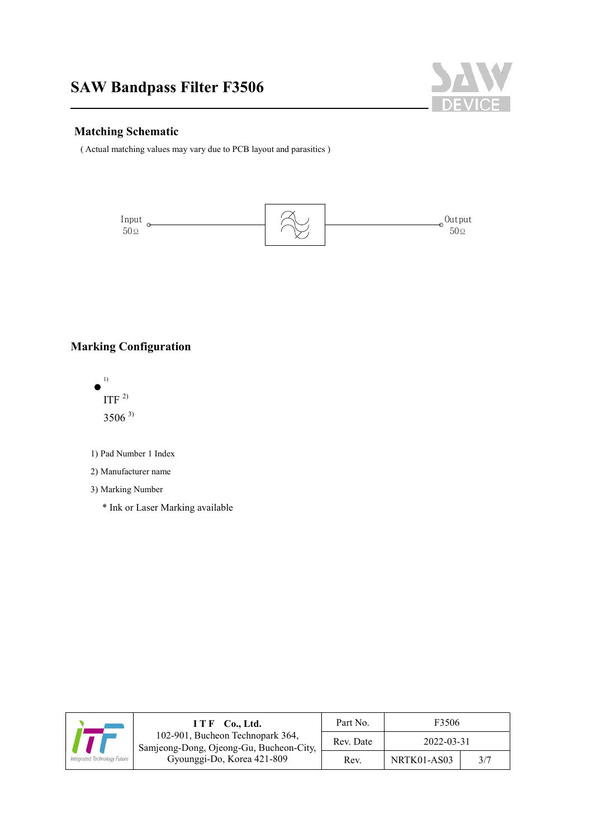

## Matching Schematic

 $\overline{a}$ 

( Actual matching values may vary due to PCB layout and parasitics )



# Marking Configuration



1) Pad Number 1 Index

#### 2) Manufacturer name

3) Marking Number

\* Ink or Laser Marking available

|                              | $I T F$ Co., Ltd.                                                           | Part No.  | F3506       |     |
|------------------------------|-----------------------------------------------------------------------------|-----------|-------------|-----|
|                              | 102-901, Bucheon Technopark 364,<br>Samjeong-Dong, Ojeong-Gu, Bucheon-City, | Rev. Date | 2022-03-31  |     |
| Integrated Technology Future | Gyounggi-Do, Korea 421-809                                                  | Rev.      | NRTK01-AS03 | 3/7 |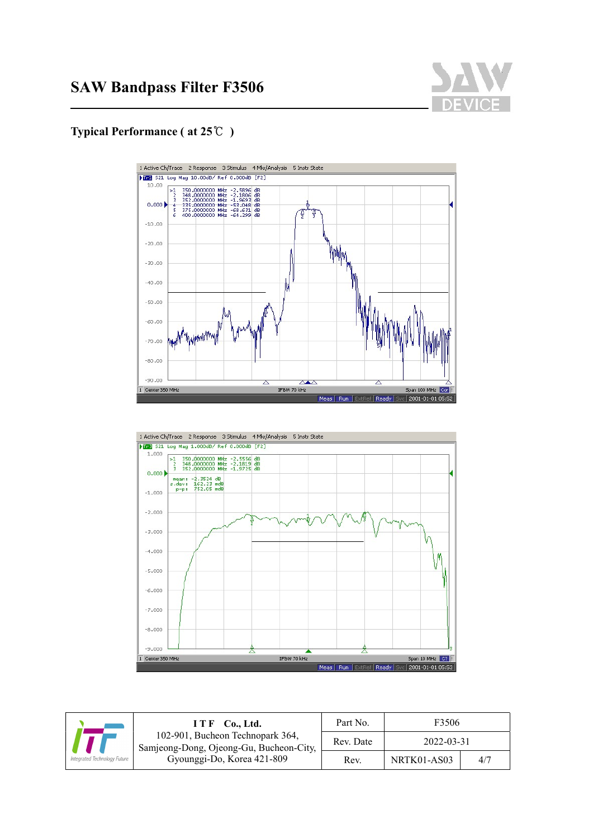

# Typical Performance ( at 25℃ )

 $\overline{a}$ 





|                              | $I T F$ Co., Ltd.                                                           | Part No.  | F3506       |     |
|------------------------------|-----------------------------------------------------------------------------|-----------|-------------|-----|
|                              | 102-901, Bucheon Technopark 364,<br>Samjeong-Dong, Ojeong-Gu, Bucheon-City, | Rev. Date | 2022-03-31  |     |
| Integrated Technology Future | Gyounggi-Do, Korea 421-809                                                  | Rev.      | NRTK01-AS03 | 4/7 |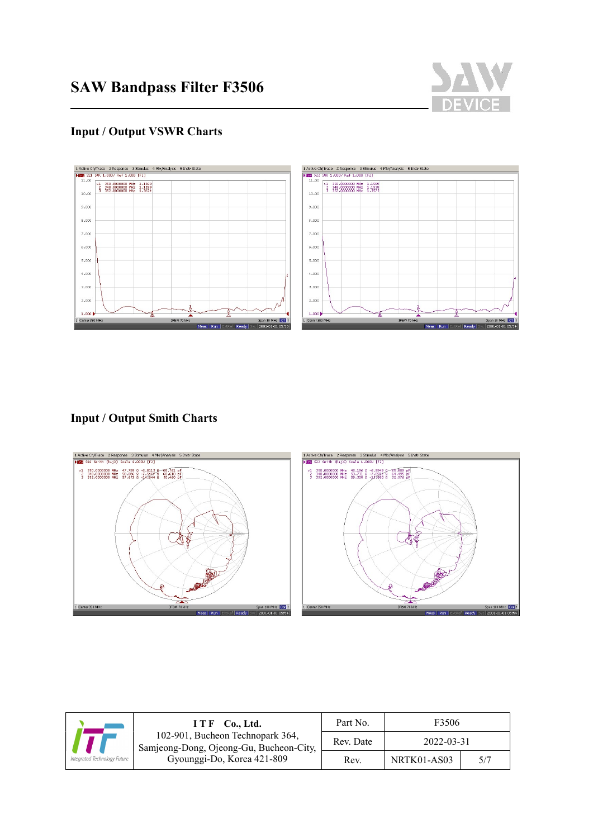

# Input / Output VSWR Charts

 $\overline{a}$ 



## Input / Output Smith Charts



|                              | ITF Co., Ltd.                                                               | Part No.  | F3506       |  |
|------------------------------|-----------------------------------------------------------------------------|-----------|-------------|--|
|                              | 102-901, Bucheon Technopark 364,<br>Samjeong-Dong, Ojeong-Gu, Bucheon-City, | Rev. Date | 2022-03-31  |  |
| Integrated Technology Future | Gyounggi-Do, Korea 421-809                                                  | Rev.      | NRTK01-AS03 |  |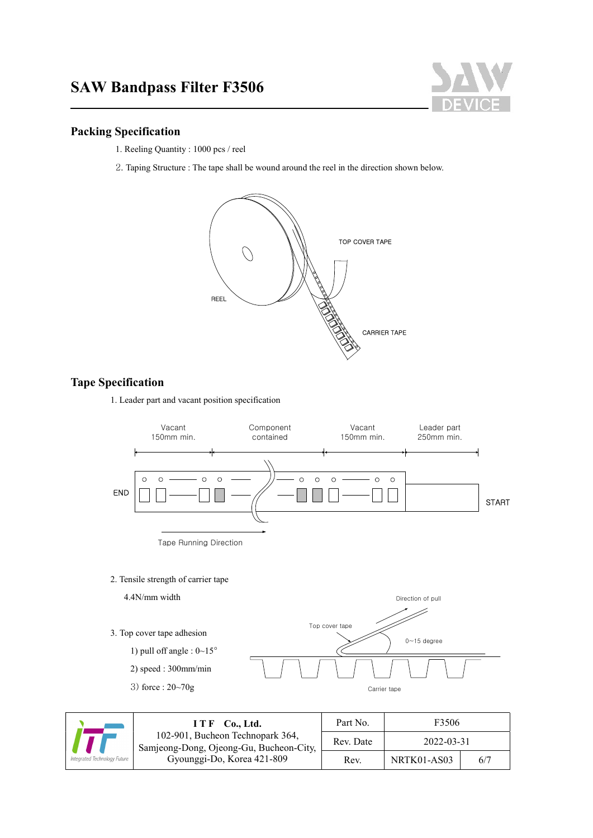

### Packing Specification

 $\overline{a}$ 

- 1. Reeling Quantity : 1000 pcs / reel
- 2. Taping Structure : The tape shall be wound around the reel in the direction shown below.



## Tape Specification

1. Leader part and vacant position specification



2. Tensile strength of carrier tape



|                   | $ITF$ Co., Ltd.                                                             | Part No.  | F3506       |     |
|-------------------|-----------------------------------------------------------------------------|-----------|-------------|-----|
|                   | 102-901, Bucheon Technopark 364,<br>Samjeong-Dong, Ojeong-Gu, Bucheon-City, | Rev. Date | 2022-03-31  |     |
| Fechnology Future | Gyounggi-Do, Korea 421-809                                                  | Rev.      | NRTK01-AS03 | 6/7 |